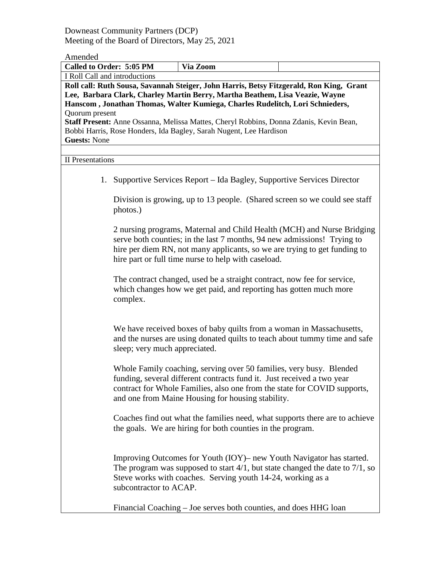Downeast Community Partners (DCP) Meeting of the Board of Directors, May 25, 2021

# Amended

| Called to Order: 5:05 PM                                                                                                                                                                                                                                                                                                                                             |                               | Via Zoom                                                                                                                                                                                                                                                                       |                                                                                    |  |  |
|----------------------------------------------------------------------------------------------------------------------------------------------------------------------------------------------------------------------------------------------------------------------------------------------------------------------------------------------------------------------|-------------------------------|--------------------------------------------------------------------------------------------------------------------------------------------------------------------------------------------------------------------------------------------------------------------------------|------------------------------------------------------------------------------------|--|--|
| I Roll Call and introductions                                                                                                                                                                                                                                                                                                                                        |                               |                                                                                                                                                                                                                                                                                |                                                                                    |  |  |
| Roll call: Ruth Sousa, Savannah Steiger, John Harris, Betsy Fitzgerald, Ron King, Grant<br>Lee, Barbara Clark, Charley Martin Berry, Martha Beathem, Lisa Veazie, Wayne<br>Hanscom, Jonathan Thomas, Walter Kumiega, Charles Rudelitch, Lori Schnieders,<br>Quorum present<br>Staff Present: Anne Ossanna, Melissa Mattes, Cheryl Robbins, Donna Zdanis, Kevin Bean, |                               |                                                                                                                                                                                                                                                                                |                                                                                    |  |  |
| Bobbi Harris, Rose Honders, Ida Bagley, Sarah Nugent, Lee Hardison<br><b>Guests: None</b>                                                                                                                                                                                                                                                                            |                               |                                                                                                                                                                                                                                                                                |                                                                                    |  |  |
| <b>II</b> Presentations                                                                                                                                                                                                                                                                                                                                              |                               |                                                                                                                                                                                                                                                                                |                                                                                    |  |  |
|                                                                                                                                                                                                                                                                                                                                                                      |                               | 1. Supportive Services Report – Ida Bagley, Supportive Services Director                                                                                                                                                                                                       |                                                                                    |  |  |
|                                                                                                                                                                                                                                                                                                                                                                      | photos.)                      |                                                                                                                                                                                                                                                                                | Division is growing, up to 13 people. (Shared screen so we could see staff         |  |  |
|                                                                                                                                                                                                                                                                                                                                                                      |                               | serve both counties; in the last 7 months, 94 new admissions! Trying to<br>hire per diem RN, not many applicants, so we are trying to get funding to<br>hire part or full time nurse to help with caseload.                                                                    | 2 nursing programs, Maternal and Child Health (MCH) and Nurse Bridging             |  |  |
|                                                                                                                                                                                                                                                                                                                                                                      | complex.                      | The contract changed, used be a straight contract, now fee for service,<br>which changes how we get paid, and reporting has gotten much more                                                                                                                                   |                                                                                    |  |  |
|                                                                                                                                                                                                                                                                                                                                                                      | sleep; very much appreciated. | We have received boxes of baby quilts from a woman in Massachusetts,                                                                                                                                                                                                           | and the nurses are using donated quilts to teach about tummy time and safe         |  |  |
|                                                                                                                                                                                                                                                                                                                                                                      |                               | Whole Family coaching, serving over 50 families, very busy. Blended<br>funding, several different contracts fund it. Just received a two year<br>contract for Whole Families, also one from the state for COVID supports,<br>and one from Maine Housing for housing stability. |                                                                                    |  |  |
|                                                                                                                                                                                                                                                                                                                                                                      |                               | the goals. We are hiring for both counties in the program.                                                                                                                                                                                                                     | Coaches find out what the families need, what supports there are to achieve        |  |  |
|                                                                                                                                                                                                                                                                                                                                                                      | subcontractor to ACAP.        | Improving Outcomes for Youth (IOY) – new Youth Navigator has started.<br>Steve works with coaches. Serving youth 14-24, working as a                                                                                                                                           | The program was supposed to start $4/1$ , but state changed the date to $7/1$ , so |  |  |

Financial Coaching – Joe serves both counties, and does HHG loan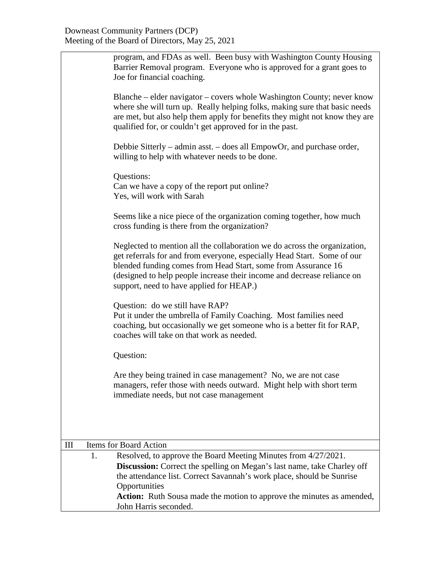|     |    | program, and FDAs as well. Been busy with Washington County Housing<br>Barrier Removal program. Everyone who is approved for a grant goes to<br>Joe for financial coaching.                                                                                                                                                                  |
|-----|----|----------------------------------------------------------------------------------------------------------------------------------------------------------------------------------------------------------------------------------------------------------------------------------------------------------------------------------------------|
|     |    | Blanche – elder navigator – covers whole Washington County; never know<br>where she will turn up. Really helping folks, making sure that basic needs<br>are met, but also help them apply for benefits they might not know they are<br>qualified for, or couldn't get approved for in the past.                                              |
|     |    | Debbie Sitterly – admin asst. – does all EmpowOr, and purchase order,<br>willing to help with whatever needs to be done.                                                                                                                                                                                                                     |
|     |    | Questions:<br>Can we have a copy of the report put online?<br>Yes, will work with Sarah                                                                                                                                                                                                                                                      |
|     |    | Seems like a nice piece of the organization coming together, how much<br>cross funding is there from the organization?                                                                                                                                                                                                                       |
|     |    | Neglected to mention all the collaboration we do across the organization,<br>get referrals for and from everyone, especially Head Start. Some of our<br>blended funding comes from Head Start, some from Assurance 16<br>(designed to help people increase their income and decrease reliance on<br>support, need to have applied for HEAP.) |
|     |    | Question: do we still have RAP?<br>Put it under the umbrella of Family Coaching. Most families need<br>coaching, but occasionally we get someone who is a better fit for RAP,<br>coaches will take on that work as needed.                                                                                                                   |
|     |    | Question:                                                                                                                                                                                                                                                                                                                                    |
|     |    | Are they being trained in case management? No, we are not case<br>managers, refer those with needs outward. Might help with short term<br>immediate needs, but not case management                                                                                                                                                           |
|     |    |                                                                                                                                                                                                                                                                                                                                              |
| III |    | <b>Items for Board Action</b>                                                                                                                                                                                                                                                                                                                |
|     | 1. | Resolved, to approve the Board Meeting Minutes from 4/27/2021.<br><b>Discussion:</b> Correct the spelling on Megan's last name, take Charley off<br>the attendance list. Correct Savannah's work place, should be Sunrise<br>Opportunities                                                                                                   |
|     |    | Action: Ruth Sousa made the motion to approve the minutes as amended,<br>John Harris seconded.                                                                                                                                                                                                                                               |
|     |    |                                                                                                                                                                                                                                                                                                                                              |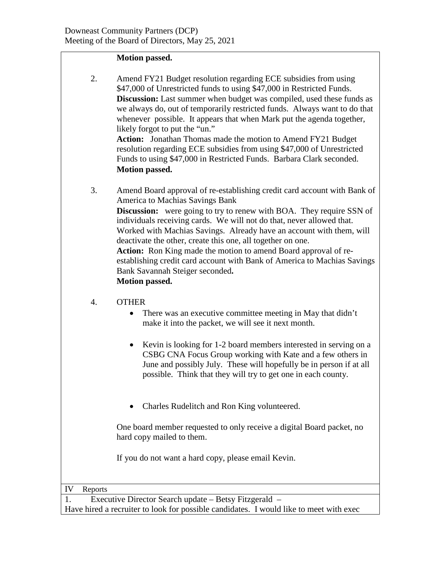#### **Motion passed.**

2. Amend FY21 Budget resolution regarding ECE subsidies from using \$47,000 of Unrestricted funds to using \$47,000 in Restricted Funds. **Discussion:** Last summer when budget was compiled, used these funds as we always do, out of temporarily restricted funds. Always want to do that whenever possible. It appears that when Mark put the agenda together, likely forgot to put the "un." **Action:** Jonathan Thomas made the motion to Amend FY21 Budget

resolution regarding ECE subsidies from using \$47,000 of Unrestricted Funds to using \$47,000 in Restricted Funds. Barbara Clark seconded. **Motion passed.**

3. Amend Board approval of re-establishing credit card account with Bank of America to Machias Savings Bank **Discussion:** were going to try to renew with BOA. They require SSN of individuals receiving cards. We will not do that, never allowed that. Worked with Machias Savings. Already have an account with them, will deactivate the other, create this one, all together on one. **Action:** Ron King made the motion to amend Board approval of reestablishing credit card account with Bank of America to Machias Savings Bank Savannah Steiger seconded**. Motion passed.**

### 4. OTHER

- There was an executive committee meeting in May that didn't make it into the packet, we will see it next month.
- Kevin is looking for 1-2 board members interested in serving on a CSBG CNA Focus Group working with Kate and a few others in June and possibly July. These will hopefully be in person if at all possible. Think that they will try to get one in each county.
- Charles Rudelitch and Ron King volunteered.

One board member requested to only receive a digital Board packet, no hard copy mailed to them.

If you do not want a hard copy, please email Kevin.

#### IV Reports

1. Executive Director Search update – Betsy Fitzgerald –

Have hired a recruiter to look for possible candidates. I would like to meet with exec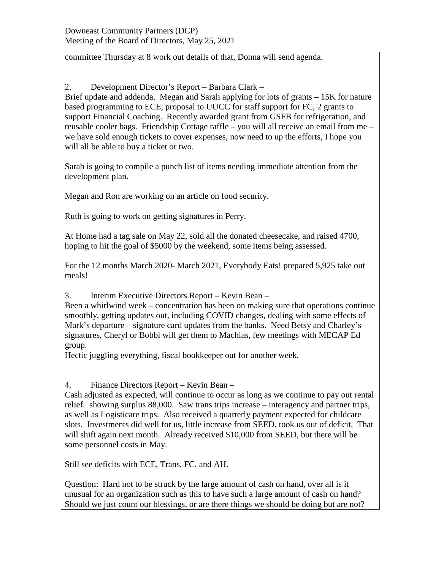committee Thursday at 8 work out details of that, Donna will send agenda.

2. Development Director's Report – Barbara Clark –

Brief update and addenda. Megan and Sarah applying for lots of grants – 15K for nature based programming to ECE, proposal to UUCC for staff support for FC, 2 grants to support Financial Coaching. Recently awarded grant from GSFB for refrigeration, and reusable cooler bags. Friendship Cottage raffle – you will all receive an email from me – we have sold enough tickets to cover expenses, now need to up the efforts, I hope you will all be able to buy a ticket or two.

Sarah is going to compile a punch list of items needing immediate attention from the development plan.

Megan and Ron are working on an article on food security.

Ruth is going to work on getting signatures in Perry.

At Home had a tag sale on May 22, sold all the donated cheesecake, and raised 4700, hoping to hit the goal of \$5000 by the weekend, some items being assessed.

For the 12 months March 2020- March 2021, Everybody Eats! prepared 5,925 take out meals!

3. Interim Executive Directors Report – Kevin Bean –

Been a whirlwind week – concentration has been on making sure that operations continue smoothly, getting updates out, including COVID changes, dealing with some effects of Mark's departure – signature card updates from the banks. Need Betsy and Charley's signatures, Cheryl or Bobbi will get them to Machias, few meetings with MECAP Ed group.

Hectic juggling everything, fiscal bookkeeper out for another week.

4. Finance Directors Report – Kevin Bean –

Cash adjusted as expected, will continue to occur as long as we continue to pay out rental relief. showing surplus 88,000. Saw trans trips increase – interagency and partner trips, as well as Logisticare trips. Also received a quarterly payment expected for childcare slots. Investments did well for us, little increase from SEED, took us out of deficit. That will shift again next month. Already received \$10,000 from SEED, but there will be some personnel costs in May.

Still see deficits with ECE, Trans, FC, and AH.

Question: Hard not to be struck by the large amount of cash on hand, over all is it unusual for an organization such as this to have such a large amount of cash on hand? Should we just count our blessings, or are there things we should be doing but are not?